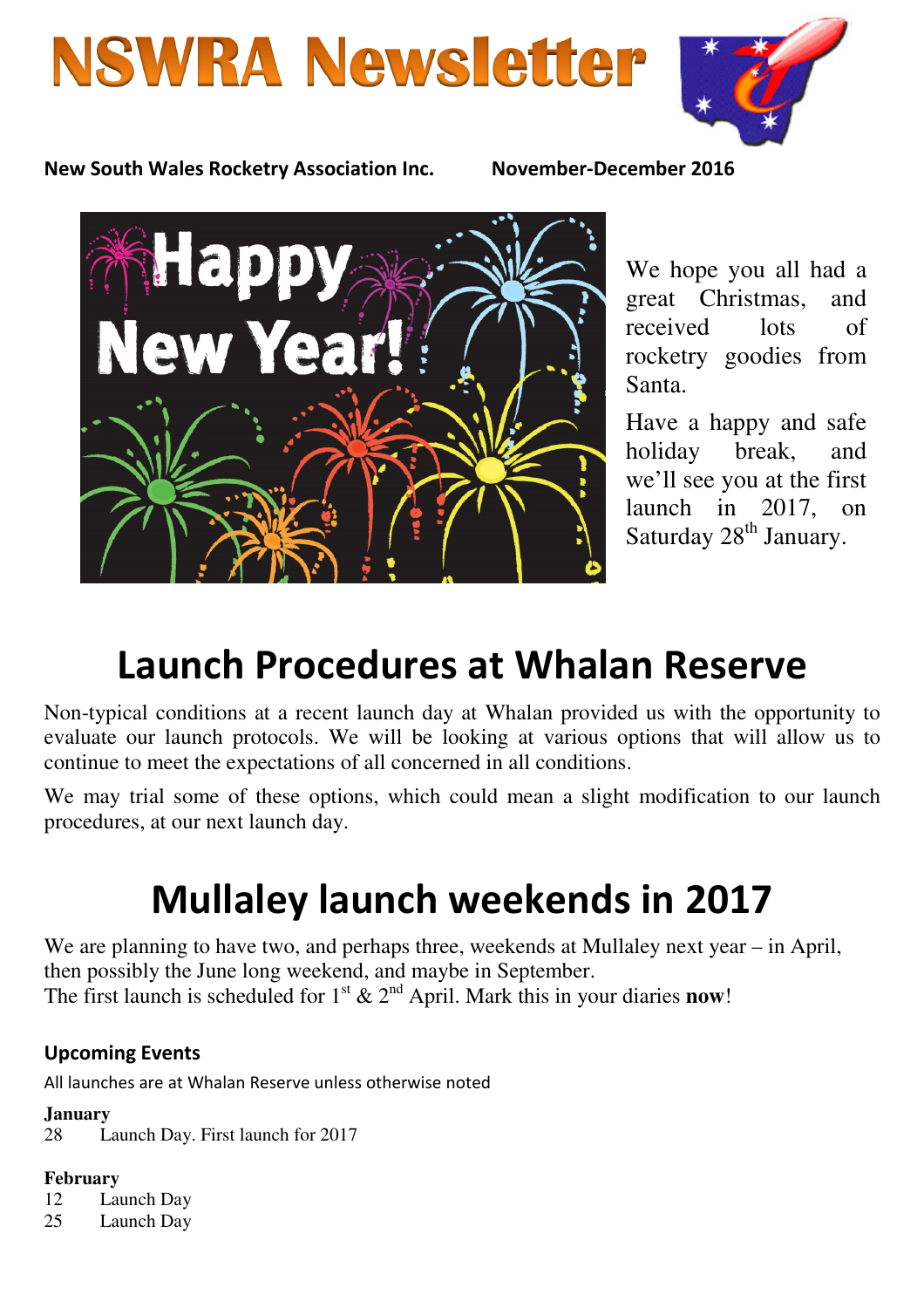# **NSWRA Newsletter**



New South Wales Rocketry Association Inc. November-December 2016



We hope you all had a great Christmas, and received lots of rocketry goodies from Santa.

Have a happy and safe holiday break, and we'll see you at the first launch in 2017, on Saturday 28<sup>th</sup> January.

# Launch Procedures at Whalan Reserve

Non-typical conditions at a recent launch day at Whalan provided us with the opportunity to evaluate our launch protocols. We will be looking at various options that will allow us to continue to meet the expectations of all concerned in all conditions.

We may trial some of these options, which could mean a slight modification to our launch procedures, at our next launch day.

# Mullaley launch weekends in 2017

We are planning to have two, and perhaps three, weekends at Mullaley next year – in April, then possibly the June long weekend, and maybe in September. The first launch is scheduled for  $1^{st}$  &  $2^{nd}$  April. Mark this in your diaries **now!** 

## Upcoming Events

All launches are at Whalan Reserve unless otherwise noted

#### **January**

28 Launch Day. First launch for 2017

#### **February**

12 Launch Day

25 Launch Day